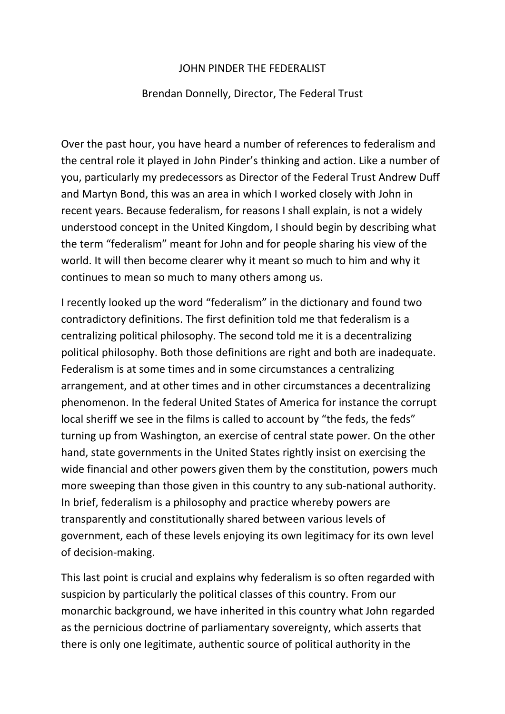## JOHN PINDER THE FEDERALIST

## Brendan Donnelly, Director, The Federal Trust

Over the past hour, you have heard a number of references to federalism and the central role it played in John Pinder's thinking and action. Like a number of you, particularly my predecessors as Director of the Federal Trust Andrew Duff and Martyn Bond, this was an area in which I worked closely with John in recent years. Because federalism, for reasons I shall explain, is not a widely understood concept in the United Kingdom, I should begin by describing what the term "federalism" meant for John and for people sharing his view of the world. It will then become clearer why it meant so much to him and why it continues to mean so much to many others among us.

I recently looked up the word "federalism" in the dictionary and found two contradictory definitions. The first definition told me that federalism is a centralizing political philosophy. The second told me it is a decentralizing political philosophy. Both those definitions are right and both are inadequate. Federalism is at some times and in some circumstances a centralizing arrangement, and at other times and in other circumstances a decentralizing phenomenon. In the federal United States of America for instance the corrupt local sheriff we see in the films is called to account by "the feds, the feds" turning up from Washington, an exercise of central state power. On the other hand, state governments in the United States rightly insist on exercising the wide financial and other powers given them by the constitution, powers much more sweeping than those given in this country to any sub-national authority. In brief, federalism is a philosophy and practice whereby powers are transparently and constitutionally shared between various levels of government, each of these levels enjoying its own legitimacy for its own level of decision‐making.

This last point is crucial and explains why federalism is so often regarded with suspicion by particularly the political classes of this country. From our monarchic background, we have inherited in this country what John regarded as the pernicious doctrine of parliamentary sovereignty, which asserts that there is only one legitimate, authentic source of political authority in the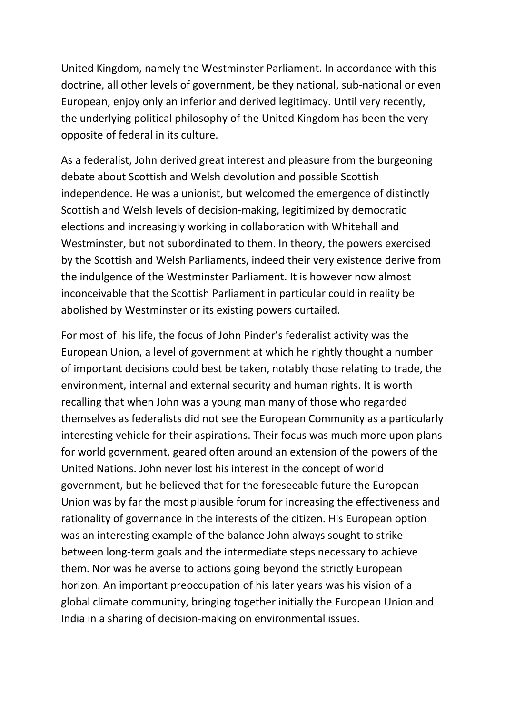United Kingdom, namely the Westminster Parliament. In accordance with this doctrine, all other levels of government, be they national, sub‐national or even European, enjoy only an inferior and derived legitimacy. Until very recently, the underlying political philosophy of the United Kingdom has been the very opposite of federal in its culture.

As a federalist, John derived great interest and pleasure from the burgeoning debate about Scottish and Welsh devolution and possible Scottish independence. He was a unionist, but welcomed the emergence of distinctly Scottish and Welsh levels of decision‐making, legitimized by democratic elections and increasingly working in collaboration with Whitehall and Westminster, but not subordinated to them. In theory, the powers exercised by the Scottish and Welsh Parliaments, indeed their very existence derive from the indulgence of the Westminster Parliament. It is however now almost inconceivable that the Scottish Parliament in particular could in reality be abolished by Westminster or its existing powers curtailed.

For most of his life, the focus of John Pinder's federalist activity was the European Union, a level of government at which he rightly thought a number of important decisions could best be taken, notably those relating to trade, the environment, internal and external security and human rights. It is worth recalling that when John was a young man many of those who regarded themselves as federalists did not see the European Community as a particularly interesting vehicle for their aspirations. Their focus was much more upon plans for world government, geared often around an extension of the powers of the United Nations. John never lost his interest in the concept of world government, but he believed that for the foreseeable future the European Union was by far the most plausible forum for increasing the effectiveness and rationality of governance in the interests of the citizen. His European option was an interesting example of the balance John always sought to strike between long‐term goals and the intermediate steps necessary to achieve them. Nor was he averse to actions going beyond the strictly European horizon. An important preoccupation of his later years was his vision of a global climate community, bringing together initially the European Union and India in a sharing of decision‐making on environmental issues.